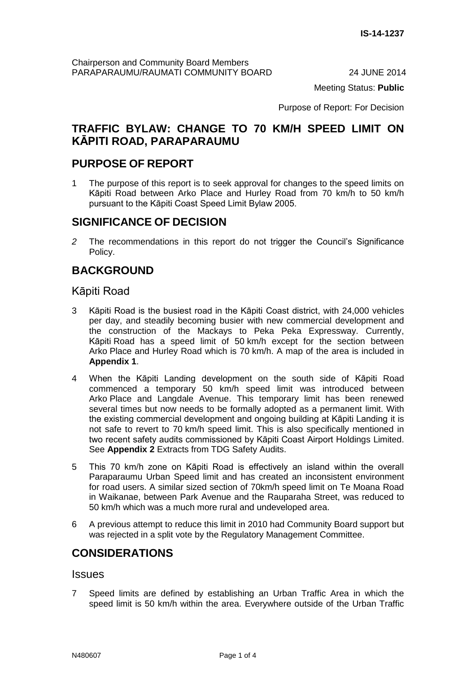Meeting Status: **Public**

Purpose of Report: For Decision

# **TRAFFIC BYLAW: CHANGE TO 70 KM/H SPEED LIMIT ON KĀPITI ROAD, PARAPARAUMU**

# **PURPOSE OF REPORT**

1 The purpose of this report is to seek approval for changes to the speed limits on Kāpiti Road between Arko Place and Hurley Road from 70 km/h to 50 km/h pursuant to the Kāpiti Coast Speed Limit Bylaw 2005.

# **SIGNIFICANCE OF DECISION**

*2* The recommendations in this report do not trigger the Council's Significance Policy.

# **BACKGROUND**

# Kāpiti Road

- 3 Kāpiti Road is the busiest road in the Kāpiti Coast district, with 24,000 vehicles per day, and steadily becoming busier with new commercial development and the construction of the Mackays to Peka Peka Expressway. Currently, Kāpiti Road has a speed limit of 50 km/h except for the section between Arko Place and Hurley Road which is 70 km/h. A map of the area is included in **Appendix 1**.
- 4 When the Kāpiti Landing development on the south side of Kāpiti Road commenced a temporary 50 km/h speed limit was introduced between Arko Place and Langdale Avenue. This temporary limit has been renewed several times but now needs to be formally adopted as a permanent limit. With the existing commercial development and ongoing building at Kāpiti Landing it is not safe to revert to 70 km/h speed limit. This is also specifically mentioned in two recent safety audits commissioned by Kāpiti Coast Airport Holdings Limited. See **Appendix 2** Extracts from TDG Safety Audits.
- 5 This 70 km/h zone on Kāpiti Road is effectively an island within the overall Paraparaumu Urban Speed limit and has created an inconsistent environment for road users. A similar sized section of 70km/h speed limit on Te Moana Road in Waikanae, between Park Avenue and the Rauparaha Street, was reduced to 50 km/h which was a much more rural and undeveloped area.
- 6 A previous attempt to reduce this limit in 2010 had Community Board support but was rejected in a split vote by the Regulatory Management Committee.

# **CONSIDERATIONS**

### **Issues**

7 Speed limits are defined by establishing an Urban Traffic Area in which the speed limit is 50 km/h within the area. Everywhere outside of the Urban Traffic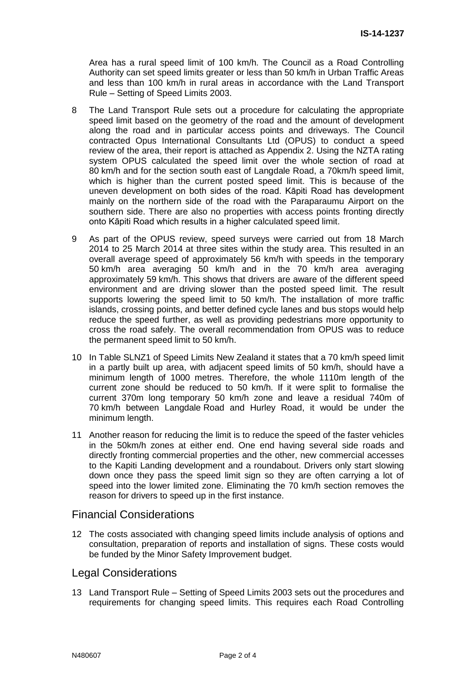Area has a rural speed limit of 100 km/h. The Council as a Road Controlling Authority can set speed limits greater or less than 50 km/h in Urban Traffic Areas and less than 100 km/h in rural areas in accordance with the Land Transport Rule – Setting of Speed Limits 2003.

- 8 The Land Transport Rule sets out a procedure for calculating the appropriate speed limit based on the geometry of the road and the amount of development along the road and in particular access points and driveways. The Council contracted Opus International Consultants Ltd (OPUS) to conduct a speed review of the area, their report is attached as Appendix 2. Using the NZTA rating system OPUS calculated the speed limit over the whole section of road at 80 km/h and for the section south east of Langdale Road, a 70km/h speed limit, which is higher than the current posted speed limit. This is because of the uneven development on both sides of the road. Kāpiti Road has development mainly on the northern side of the road with the Paraparaumu Airport on the southern side. There are also no properties with access points fronting directly onto Kāpiti Road which results in a higher calculated speed limit.
- 9 As part of the OPUS review, speed surveys were carried out from 18 March 2014 to 25 March 2014 at three sites within the study area. This resulted in an overall average speed of approximately 56 km/h with speeds in the temporary 50 km/h area averaging 50 km/h and in the 70 km/h area averaging approximately 59 km/h. This shows that drivers are aware of the different speed environment and are driving slower than the posted speed limit. The result supports lowering the speed limit to 50 km/h. The installation of more traffic islands, crossing points, and better defined cycle lanes and bus stops would help reduce the speed further, as well as providing pedestrians more opportunity to cross the road safely. The overall recommendation from OPUS was to reduce the permanent speed limit to 50 km/h.
- 10 In Table SLNZ1 of Speed Limits New Zealand it states that a 70 km/h speed limit in a partly built up area, with adjacent speed limits of 50 km/h, should have a minimum length of 1000 metres. Therefore, the whole 1110m length of the current zone should be reduced to 50 km/h. If it were split to formalise the current 370m long temporary 50 km/h zone and leave a residual 740m of 70 km/h between Langdale Road and Hurley Road, it would be under the minimum length.
- 11 Another reason for reducing the limit is to reduce the speed of the faster vehicles in the 50km/h zones at either end. One end having several side roads and directly fronting commercial properties and the other, new commercial accesses to the Kapiti Landing development and a roundabout. Drivers only start slowing down once they pass the speed limit sign so they are often carrying a lot of speed into the lower limited zone. Eliminating the 70 km/h section removes the reason for drivers to speed up in the first instance.

### Financial Considerations

12 The costs associated with changing speed limits include analysis of options and consultation, preparation of reports and installation of signs. These costs would be funded by the Minor Safety Improvement budget.

# Legal Considerations

13 Land Transport Rule – Setting of Speed Limits 2003 sets out the procedures and requirements for changing speed limits. This requires each Road Controlling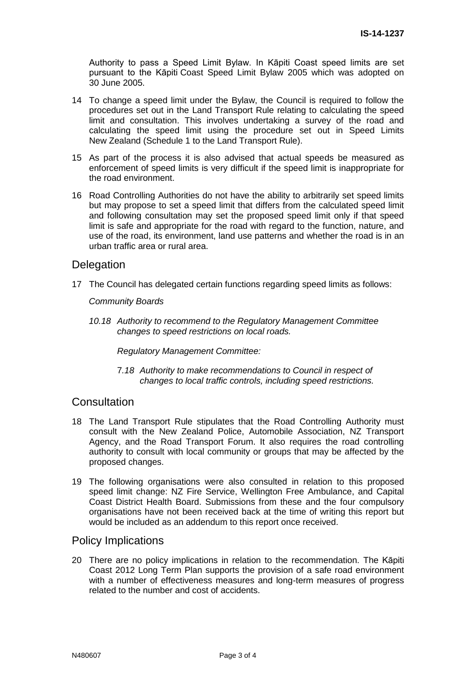Authority to pass a Speed Limit Bylaw. In Kāpiti Coast speed limits are set pursuant to the Kāpiti Coast Speed Limit Bylaw 2005 which was adopted on 30 June 2005.

- 14 To change a speed limit under the Bylaw, the Council is required to follow the procedures set out in the Land Transport Rule relating to calculating the speed limit and consultation. This involves undertaking a survey of the road and calculating the speed limit using the procedure set out in Speed Limits New Zealand (Schedule 1 to the Land Transport Rule).
- 15 As part of the process it is also advised that actual speeds be measured as enforcement of speed limits is very difficult if the speed limit is inappropriate for the road environment.
- 16 Road Controlling Authorities do not have the ability to arbitrarily set speed limits but may propose to set a speed limit that differs from the calculated speed limit and following consultation may set the proposed speed limit only if that speed limit is safe and appropriate for the road with regard to the function, nature, and use of the road, its environment, land use patterns and whether the road is in an urban traffic area or rural area.

## **Delegation**

17 The Council has delegated certain functions regarding speed limits as follows:

#### *Community Boards*

*10.18 Authority to recommend to the Regulatory Management Committee changes to speed restrictions on local roads.* 

*Regulatory Management Committee:*

7*.18 Authority to make recommendations to Council in respect of changes to local traffic controls, including speed restrictions.* 

### **Consultation**

- 18 The Land Transport Rule stipulates that the Road Controlling Authority must consult with the New Zealand Police, Automobile Association, NZ Transport Agency, and the Road Transport Forum. It also requires the road controlling authority to consult with local community or groups that may be affected by the proposed changes.
- 19 The following organisations were also consulted in relation to this proposed speed limit change: NZ Fire Service, Wellington Free Ambulance, and Capital Coast District Health Board. Submissions from these and the four compulsory organisations have not been received back at the time of writing this report but would be included as an addendum to this report once received.

#### Policy Implications

20 There are no policy implications in relation to the recommendation. The Kāpiti Coast 2012 Long Term Plan supports the provision of a safe road environment with a number of effectiveness measures and long-term measures of progress related to the number and cost of accidents.